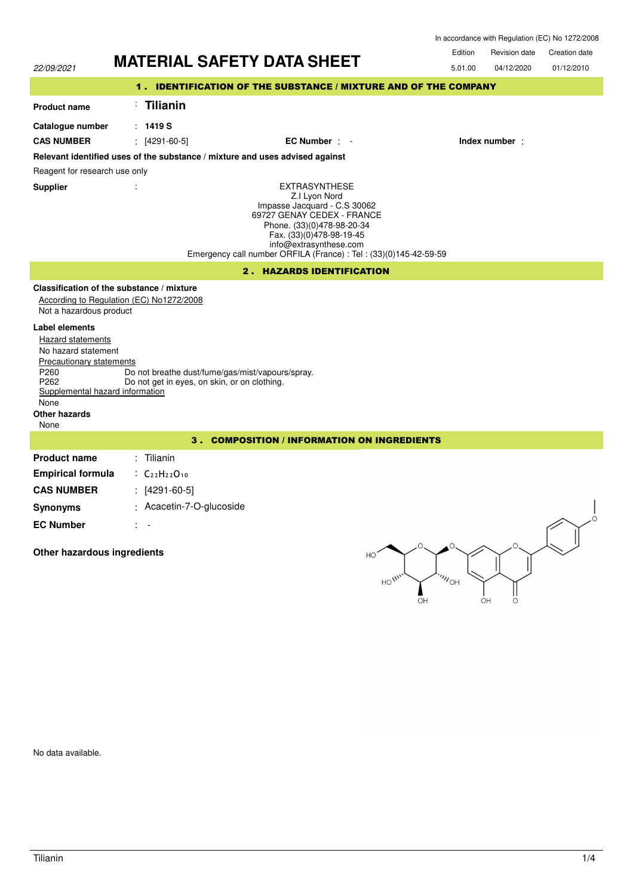| In accordance with Regulation (EC) No 1272/2008 |  |  |
|-------------------------------------------------|--|--|
|-------------------------------------------------|--|--|

Revision date Edition Revision date Creation date



No data available.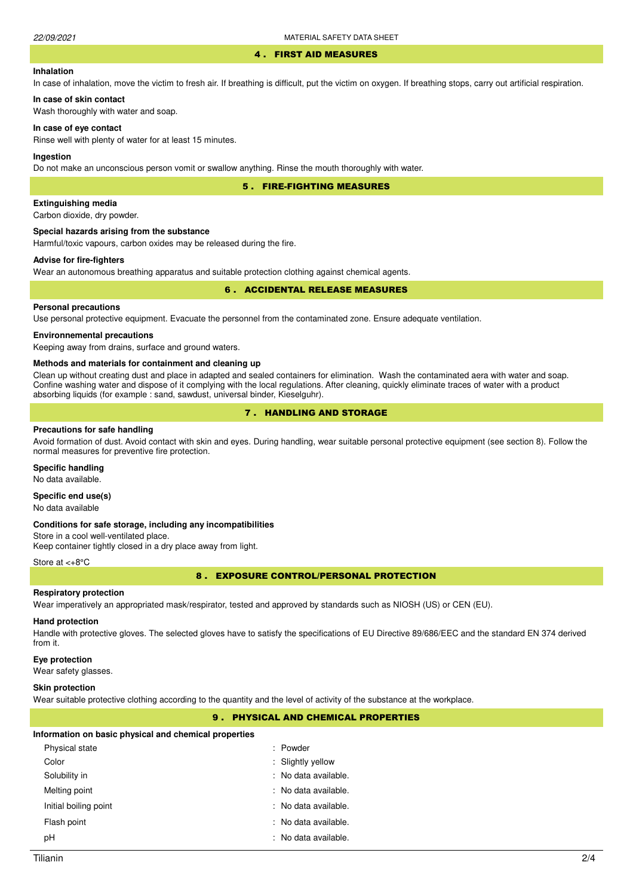#### 4 . FIRST AID MEASURES

### **Inhalation**

In case of inhalation, move the victim to fresh air. If breathing is difficult, put the victim on oxygen. If breathing stops, carry out artificial respiration.

# **In case of skin contact**

Wash thoroughly with water and soap.

### **In case of eye contact**

Rinse well with plenty of water for at least 15 minutes.

### **Ingestion**

Do not make an unconscious person vomit or swallow anything. Rinse the mouth thoroughly with water.

5 . FIRE-FIGHTING MEASURES

### **Extinguishing media**

Carbon dioxide, dry powder.

#### **Special hazards arising from the substance**

Harmful/toxic vapours, carbon oxides may be released during the fire.

### **Advise for fire-fighters**

Wear an autonomous breathing apparatus and suitable protection clothing against chemical agents.

### 6 . ACCIDENTAL RELEASE MEASURES

### **Personal precautions**

Use personal protective equipment. Evacuate the personnel from the contaminated zone. Ensure adequate ventilation.

#### **Environnemental precautions**

Keeping away from drains, surface and ground waters.

#### **Methods and materials for containment and cleaning up**

Clean up without creating dust and place in adapted and sealed containers for elimination. Wash the contaminated aera with water and soap. Confine washing water and dispose of it complying with the local regulations. After cleaning, quickly eliminate traces of water with a product absorbing liquids (for example : sand, sawdust, universal binder, Kieselguhr).

# 7 . HANDLING AND STORAGE

#### **Precautions for safe handling**

Avoid formation of dust. Avoid contact with skin and eyes. During handling, wear suitable personal protective equipment (see section 8). Follow the normal measures for preventive fire protection.

### **Specific handling**

No data available.

### **Specific end use(s)**

No data available

#### **Conditions for safe storage, including any incompatibilities**

Store in a cool well-ventilated place. Keep container tightly closed in a dry place away from light.

#### Store at <+8°C

8 . EXPOSURE CONTROL/PERSONAL PROTECTION

### **Respiratory protection**

Wear imperatively an appropriated mask/respirator, tested and approved by standards such as NIOSH (US) or CEN (EU).

### **Hand protection**

Handle with protective gloves. The selected gloves have to satisfy the specifications of EU Directive 89/686/EEC and the standard EN 374 derived from it.

#### **Eye protection**

Wear safety glasses.

### **Skin protection**

Wear suitable protective clothing according to the quantity and the level of activity of the substance at the workplace.

### 9 . PHYSICAL AND CHEMICAL PROPERTIES

#### **Information on basic physical and chemical properties**

| Physical state        | : Powder             |
|-----------------------|----------------------|
| Color                 | : Slightly yellow    |
| Solubility in         | : No data available. |
| Melting point         | : No data available. |
| Initial boiling point | : No data available. |
| Flash point           | : No data available. |
| рH                    | : No data available. |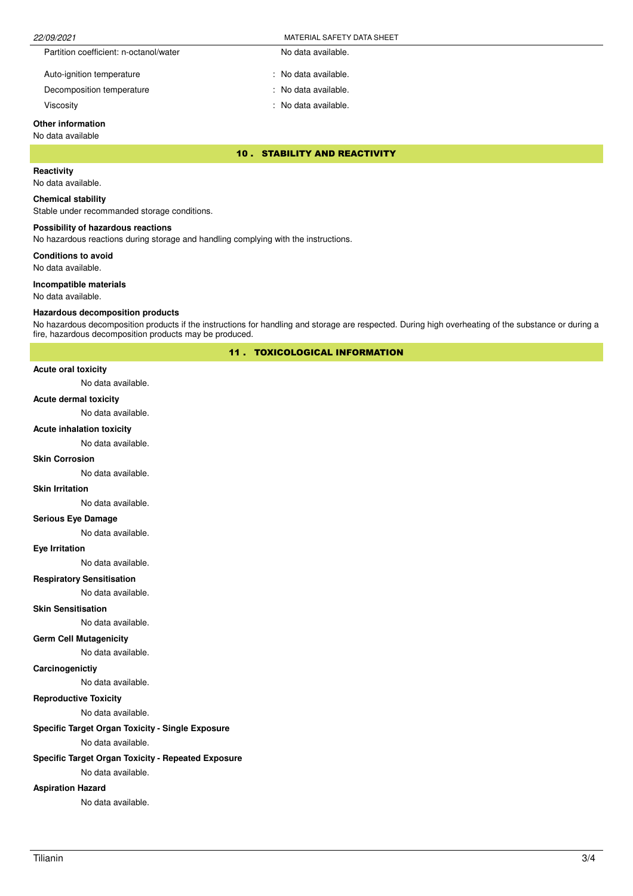| 22/09/2021                             | MATERIAL SAFETY DATA SHEET |  |
|----------------------------------------|----------------------------|--|
| Partition coefficient: n-octanol/water | No data available.         |  |
| Auto-ignition temperature              | No data available.         |  |

Decomposition temperature No data available.

Viscosity : No data available.

# **Other information**

### No data available

10 . STABILITY AND REACTIVITY

# **Reactivity**

No data available.

### **Chemical stability**

Stable under recommanded storage conditions.

### **Possibility of hazardous reactions**

No hazardous reactions during storage and handling complying with the instructions.

**Conditions to avoid**

No data available.

#### **Incompatible materials**

No data available.

#### **Hazardous decomposition products**

No hazardous decomposition products if the instructions for handling and storage are respected. During high overheating of the substance or during a fire, hazardous decomposition products may be produced.

11 . TOXICOLOGICAL INFORMATION

### **Acute oral toxicity**

No data available.

#### **Acute dermal toxicity**

No data available.

### **Acute inhalation toxicity**

No data available.

### **Skin Corrosion**

No data available.

#### **Skin Irritation**

No data available.

# **Serious Eye Damage**

No data available.

### **Eye Irritation**

No data available.

# **Respiratory Sensitisation**

No data available.

## **Skin Sensitisation**

No data available.

### **Germ Cell Mutagenicity**

No data available.

### **Carcinogenictiy**

No data available.

### **Reproductive Toxicity**

No data available.

# **Specific Target Organ Toxicity - Single Exposure**

No data available.

### **Specific Target Organ Toxicity - Repeated Exposure**

No data available.

# **Aspiration Hazard**

No data available.